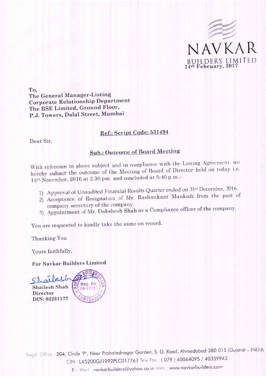

To. The General Manager-Listing **Corporate Relationship Department** The BSE Limited, Ground Floor, P.J. Towers, Dalal Street, Mumbai

## Ref.: Script Code: 531494

Dear Sir,

## **Sub.: Outcome of Board Meeting**

With reference to above subject and in compliance with the Listing Agreement, we hereby submit the outcome of the Meeting of Board of Director held on today i.e. 14th November, 2016 at 2.30 pm and concluded at 5:40 p.m.:-

- 1) Approval of Unaudited Financial Results Quarter ended on 31st December, 2016.
- 2) Acceptance of Resignation of Mr. Rashmikant Mankodi from the post of company secretary of the company.
- 3) Appointment of Mr. Dakshesh Shah as a Compliance officer of the company.

You are requested to kindly take the same on record.

Thanking You

Yours faithfully,

For Navkar Builders Limited

 $\mathfrak{a}$ Reg. No Shailesh Shah 04-1776 **Director** DIN: 02231177

Regd. Office: 304, Circle 'P', Near Prahaladnagar Garden, S. G. Road, Ahmedabad 380 015 (Gujarat - INDIA CIN: L45200GJ1992PLC017761 Tele Fax: (079) 40064095 / 40359943

E - Mail: navkarbuilders@yahoo.co.in Web: www.navkarbuilders.com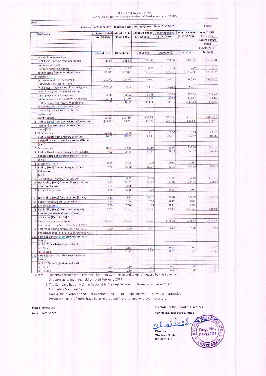RESULT NBL Q3 2016-17 BSE 304, Circle 'P', Near Prhaladnagar garden, S.G. Road, Ahmedabad 380015

| PART I         |                                                                                 |                    |                |                                                                            |                                 |              |                         |
|----------------|---------------------------------------------------------------------------------|--------------------|----------------|----------------------------------------------------------------------------|---------------------------------|--------------|-------------------------|
|                |                                                                                 |                    |                | Statement of Standalone Unaudited Results for the Quarter Ended 31/12/2016 |                                 |              | $(in \; \texttt{lacs})$ |
|                | Particulars                                                                     |                    |                | 3 Months Ended 3 Months Ended 3 Months Ended                               | 9 months ended   9 months ended |              | Year to date            |
|                |                                                                                 | $(31 - 12 - 2016)$ | $(30-09-2016)$ | $(31 - 12 - 2015)$                                                         | (31/12/2016)                    | (31/12/2015) | figures for             |
|                |                                                                                 |                    |                |                                                                            |                                 |              | current period          |
|                |                                                                                 |                    |                |                                                                            |                                 |              | ended                   |
|                |                                                                                 |                    |                |                                                                            |                                 |              | (31/03/2016)            |
|                |                                                                                 | (Unaudited)        | (Unaudited)    | (Unaudited)                                                                | (Unaudited)                     | (Unaudited)  | (Audited)               |
|                | 1 Income from operations                                                        |                    |                |                                                                            |                                 |              |                         |
|                | (a) Net sales/income from operations                                            | 33.87              | 365.82         | 1771.97                                                                    | 834.88                          | 5440.94      | 6.465.98                |
|                | (Net of excise duty)                                                            |                    |                |                                                                            |                                 |              |                         |
|                | (b) Other operating income                                                      | 0.00               | 0.00           | 0.00                                                                       | 0.00                            | 0.00         | 0.00                    |
|                | Total income from operations (net)                                              | 33.87              | 365.82         | 1,771.97                                                                   | 834.88                          | 5,440.94     | 6,465.98                |
|                | 2 Expenses                                                                      |                    |                |                                                                            |                                 |              |                         |
|                | (a) Cost of materials consumed                                                  | 396.85             | 104.51         | $-29.35$                                                                   | 487.07                          | 140.75       | 5,060.67                |
|                | (b) Purchase of stock-in-trade                                                  |                    |                | 83.67                                                                      | 80.66                           | 60.48        |                         |
|                | © Changes in inventories of finished goods,                                     | $-360.59$          | 0.17           |                                                                            |                                 |              |                         |
|                | work-in-progress and stock-in-trade                                             |                    | 20.50          | 56.35                                                                      | 71.52                           | 184.36       | 231.24                  |
|                | (d) Employee benefits expense                                                   | 22.86<br>21.76     | 21.76          | 48.06                                                                      | 65.29                           | 144.12       | 191.16                  |
|                | (e) Depreciation and amortisation expense                                       | 1.72               | 138.55         | 1474.80                                                                    | 85.95                           | 4389.60      | 399.40                  |
|                | (f) Other expenses (Any item exceeding<br>10% of the total expenses relating to |                    |                |                                                                            |                                 |              |                         |
|                | continuing operations to be shown                                               |                    |                |                                                                            |                                 |              |                         |
|                | separately)                                                                     |                    |                |                                                                            |                                 |              |                         |
|                | <b>Total expenses</b>                                                           | 82.60              | 285.49         | 1,633.53                                                                   | 629.12                          | 4.919.31     | 5,882.47                |
|                | 3 Profit / (Loss) from operations before other                                  | (48.73)            | 80.33          | 138.44                                                                     | 205.76                          | 521.63       | 583.51                  |
|                | income, finance costs and exceptional                                           |                    |                |                                                                            |                                 |              |                         |
|                | items $(1-2)$                                                                   |                    |                |                                                                            |                                 |              |                         |
| 4              | Other income                                                                    | 104.90             | 2.68           | 5.03                                                                       | 17.00                           | 20.84        | 21.32                   |
| 5              | Profit / (Loss) from ordinary activities                                        | 56.17              | 83.01          | 143.47                                                                     | 222.76                          | 542.47       | 604.83                  |
|                | before finance costs and exceptional items                                      |                    |                |                                                                            |                                 |              |                         |
|                | $(3 + 4)$                                                                       |                    |                |                                                                            |                                 |              |                         |
|                | 6 Finance costs                                                                 | 48.55              | 57.35          | 62.50                                                                      | 153.64                          | 196 90       | 259.38                  |
| $\mathcal{I}$  | Profit / (Loss) from ordinary activities after                                  | 7:62               | 25.66          | 80.97                                                                      | 69.12                           | 345.57       | 345.45                  |
|                | finance costs but before exceptional items                                      |                    |                |                                                                            |                                 |              |                         |
|                | $(5 + 6)$                                                                       |                    |                |                                                                            |                                 |              |                         |
|                | 8 Exceptional items                                                             | 0.00               | 0.00           | 0.00                                                                       | 0.00                            | 0.00         |                         |
|                | 9 Profit / (Loss) from ordinary activities                                      | 7.62               | 25.66          | 80.97                                                                      | 69.12                           | 345.57       | 345.45                  |
|                | before tax                                                                      |                    |                |                                                                            |                                 |              |                         |
|                | $(7 + 8)$                                                                       |                    |                |                                                                            |                                 |              |                         |
|                | 10 Tax expense - Provision for taxation                                         | 2.30               | 8.95           | 30.80                                                                      | 21.25                           | 110.80       | 118.50                  |
|                | 11 Net Profit / (Loss) from ordinary activities                                 | 5.32               | 16.71          | 50.17                                                                      | 47.87                           | 234.77       | 226.95                  |
|                | after tax $(9 + 10)$                                                            | 5.32               | 0.00           |                                                                            |                                 |              |                         |
|                | 12 Extraordinary items                                                          | 0.00               | 0.00           | 0.00                                                                       | 0,00                            | 0.00         |                         |
|                |                                                                                 |                    |                |                                                                            |                                 |              | 226.95                  |
|                | 13 Net Profit / (Loss) for the period $(11 + 12)$                               | 5.32               | 16.71          | <b>SO.17</b>                                                               | 47.87                           | 234.77       |                         |
|                | 14 Share of profit / (loss) of associates*                                      | 0.00               | 0.00           | 0.00                                                                       | 0.00                            | 0.00         |                         |
| 15<br>16<br>17 | Minority interest. <sup>*</sup>                                                 | 0.00               | 0.00           | 0.00                                                                       | 0.00                            | 0.00         |                         |
|                | Net Profit / (Loss) after taxes, minority                                       | 5.32               | 16.71          | 50.17                                                                      | 47.87                           | 287.68       | 226.95                  |
|                | interest and share of profit / (loss) of                                        |                    |                |                                                                            |                                 |              |                         |
|                | associates (13 + 14 + 15) *                                                     |                    |                |                                                                            |                                 | 1745.33      |                         |
|                | Paid-up equity share capital                                                    | 1745.33            | 1745.33        | 1745.33                                                                    | 1745.33                         |              | 1.745.33                |
|                | (Face Value of the Share shall be indicated)                                    |                    |                |                                                                            |                                 |              | 0.00.                   |
|                | 18 Reserve excluding Revaluation Reserves as                                    | 0.00               | 0.00           | 0.00                                                                       | 0.00                            | 0.00         |                         |
|                | per balance sheet of previous accounting year                                   |                    |                |                                                                            |                                 |              |                         |
|                | 19.1 Earnings per share (before extraordinary                                   |                    |                |                                                                            |                                 |              |                         |
|                | items)<br>(of Rs.10/- each) (not annualised):                                   |                    |                |                                                                            |                                 |              |                         |
|                |                                                                                 |                    |                | 0.29                                                                       | 0.27                            | 1.65         | 130                     |
|                | (a) Basic<br>(b) Diluted                                                        | 0.03<br>0.03       | 0.10<br>0.10   | 0.29                                                                       | 0.27                            | 1.65         | 1.30                    |
|                | 19. il Earnings per share (after extraordinary                                  |                    |                |                                                                            |                                 |              |                         |
|                | items)                                                                          |                    |                |                                                                            |                                 |              |                         |
|                | (of Rs. 10/- each) (not annualised):                                            |                    |                |                                                                            |                                 |              |                         |
|                | (a) Basic                                                                       | 0.03               | 0.10           | 0.29                                                                       | 0.27                            | 1.65         | $1 - 30$                |
|                | (b) Diluted                                                                     | 0.03               | 0.10           | 0.29                                                                       | 0.27                            | 1.65         | 1.30.                   |
|                |                                                                                 |                    |                |                                                                            |                                 |              |                         |

Notes: 1. The above results were reviewed by Audit Committee and taken on record by the Board of Directors at its meeting held on 14th February 2017

2. The Company has only single Reportable Business Segment in terms of requirements of Accounting Standard 17.

3. During the quarter ended 31st December, 2016, No Complaints were received and attended.

4. Previous quarter's figures have been re-grouped / re-arranged wherever necessary.

Place: Ahmedabad

Date: 14/02/2017

By Order of the Board of Directors

For Navkar Builders Limited aî le l Reg. No. Director 04-17761 Shailesh Shah DIN:02231177

MED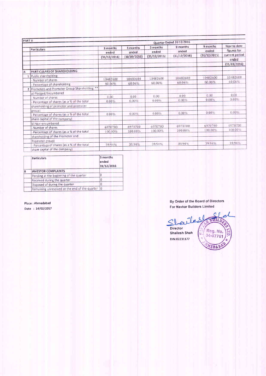| PART II        |                                              | Quarter Ended 31/12/2016 |              |              |              |                   |                             |
|----------------|----------------------------------------------|--------------------------|--------------|--------------|--------------|-------------------|-----------------------------|
|                | <b>Particulars</b>                           | 3 months                 | 3 months     | 3 months     | 9 months     | 9 months<br>ended | Year to date<br>figures for |
|                |                                              | ended                    | ended        | ended        | ended        |                   | current period              |
|                |                                              | (31/12/2016)             | (30/09/2016) | (31/12/2015) | (31/12/2016) | (31/12/2015)      |                             |
|                |                                              |                          |              |              |              |                   | ended                       |
|                |                                              |                          |              |              |              |                   | (31/03/2016)                |
| $\overline{A}$ | PARTICULARS OF SHAREHOLDING                  |                          |              |              |              |                   |                             |
|                | Public shareholding                          |                          |              |              |              | 10482600          | 10482600                    |
|                | Number of shares                             | 10482600                 | 10482600     | 10482600     | 10482600     |                   | 60.06%                      |
|                | Percentage of shareholding                   | 60.06%                   | 60.06%       | 60.06%       | 60.06%       | 60.06%            |                             |
| $\overline{2}$ | Promoters and Promoter Group Shareholding ** |                          |              |              |              |                   |                             |
|                | a) Pledged/Encumbered                        |                          |              |              |              |                   |                             |
|                | Number of shares                             | 0.00                     | 0.00         | 0.00         | 0.00         | 0.00              | 0.00                        |
|                | Percentage of shares (as a % of the total    | $0.00\%$                 | 0.00%        | 0.00%        | 0.00%        | 0.00%             | 0.00%                       |
|                | shareholding of promoter and promoter        |                          |              |              |              |                   |                             |
|                | group)                                       |                          |              |              |              |                   | $0.00\%$                    |
|                | Percentage of shares (as a % of the total    | 0.00%                    | 0.00%        | 0.00%        | $0.00\%$     | 0.00%             |                             |
|                | share capital of the company)                |                          |              |              |              |                   |                             |
|                | b) Non-encumbered                            |                          |              |              |              |                   | 6970700                     |
|                | Number of shares                             | 6970700                  | 6970700      | 6970700      | 6970700      | 6970700           |                             |
|                | Percentage of shares (as a % of the total    | 100.00%                  | 100.00%      | 100.00%      | 100.00%      | 100.00%           | 100.00%                     |
|                | shareholding of the Promoter and             |                          |              |              |              |                   |                             |
|                | Promoter group)                              |                          |              |              |              |                   |                             |
|                | Percentage of shares (as a % of the total    | 39.94%                   | 39.94%       | 39.94%       | 39.94%       | 39.94%            | 39.94%                      |
|                | share capital of the company)                |                          |              |              |              |                   |                             |

|   | Particulars                                      | 3 months<br>ended<br>31/12/2016 |
|---|--------------------------------------------------|---------------------------------|
| в | <b>INVESTOR COMPLAINTS</b>                       |                                 |
|   | Pending at the beginning of the quarter          |                                 |
|   | Received during the quarter                      |                                 |
|   | Disposed of during the quarter                   |                                 |
|   | Remaining unresolved at the end of the quarter 0 |                                 |

Place: Ahmedabad

Date: 14/02/2017

By Order of the Board of Directors For Navkar Builders Limited

Ó ¢  $\theta$ e  $\frac{1}{2}$  $\Im$ Director Reg. No.<br>04-17761 Shailesh Shah DIN:02231177 VEDAB